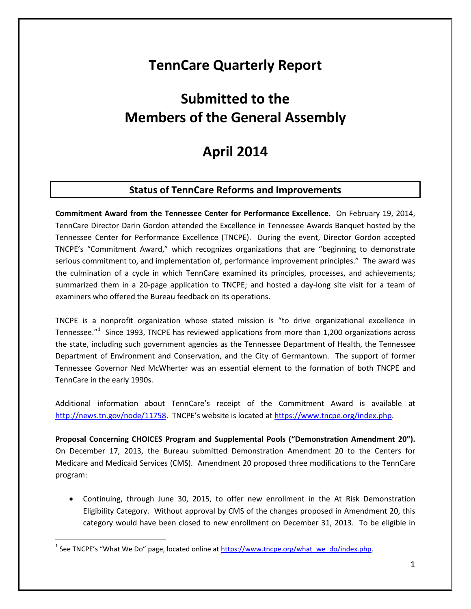## **TennCare Quarterly Report**

# **Submitted to the Members of the General Assembly**

## **April 2014**

## **Status of TennCare Reforms and Improvements**

**Commitment Award from the Tennessee Center for Performance Excellence.** On February 19, 2014, TennCare Director Darin Gordon attended the Excellence in Tennessee Awards Banquet hosted by the Tennessee Center for Performance Excellence (TNCPE). During the event, Director Gordon accepted TNCPE's "Commitment Award," which recognizes organizations that are "beginning to demonstrate serious commitment to, and implementation of, performance improvement principles." The award was the culmination of a cycle in which TennCare examined its principles, processes, and achievements; summarized them in a 20-page application to TNCPE; and hosted a day-long site visit for a team of examiners who offered the Bureau feedback on its operations.

TNCPE is a nonprofit organization whose stated mission is "to drive organizational excellence in Tennessee."<sup>[1](#page-0-0)</sup> Since 1993, TNCPE has reviewed applications from more than 1,200 organizations across the state, including such government agencies as the Tennessee Department of Health, the Tennessee Department of Environment and Conservation, and the City of Germantown. The support of former Tennessee Governor Ned McWherter was an essential element to the formation of both TNCPE and TennCare in the early 1990s.

Additional information about TennCare's receipt of the Commitment Award is available at [http://news.tn.gov/node/11758.](http://news.tn.gov/node/11758) TNCPE's website is located a[t https://www.tncpe.org/index.php.](https://www.tncpe.org/index.php)

**Proposal Concerning CHOICES Program and Supplemental Pools ("Demonstration Amendment 20").**  On December 17, 2013, the Bureau submitted Demonstration Amendment 20 to the Centers for Medicare and Medicaid Services (CMS). Amendment 20 proposed three modifications to the TennCare program:

• Continuing, through June 30, 2015, to offer new enrollment in the At Risk Demonstration Eligibility Category. Without approval by CMS of the changes proposed in Amendment 20, this category would have been closed to new enrollment on December 31, 2013. To be eligible in

<span id="page-0-0"></span><sup>&</sup>lt;sup>1</sup> See TNCPE's "What We Do" page, located online at [https://www.tncpe.org/what\\_we\\_do/index.php.](https://www.tncpe.org/what_we_do/index.php)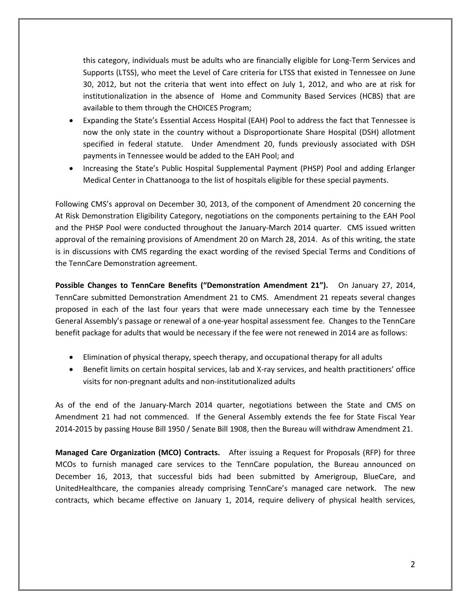this category, individuals must be adults who are financially eligible for Long-Term Services and Supports (LTSS), who meet the Level of Care criteria for LTSS that existed in Tennessee on June 30, 2012, but not the criteria that went into effect on July 1, 2012, and who are at risk for institutionalization in the absence of Home and Community Based Services (HCBS) that are available to them through the CHOICES Program;

- Expanding the State's Essential Access Hospital (EAH) Pool to address the fact that Tennessee is now the only state in the country without a Disproportionate Share Hospital (DSH) allotment specified in federal statute. Under Amendment 20, funds previously associated with DSH payments in Tennessee would be added to the EAH Pool; and
- Increasing the State's Public Hospital Supplemental Payment (PHSP) Pool and adding Erlanger Medical Center in Chattanooga to the list of hospitals eligible for these special payments.

Following CMS's approval on December 30, 2013, of the component of Amendment 20 concerning the At Risk Demonstration Eligibility Category, negotiations on the components pertaining to the EAH Pool and the PHSP Pool were conducted throughout the January-March 2014 quarter. CMS issued written approval of the remaining provisions of Amendment 20 on March 28, 2014. As of this writing, the state is in discussions with CMS regarding the exact wording of the revised Special Terms and Conditions of the TennCare Demonstration agreement.

**Possible Changes to TennCare Benefits ("Demonstration Amendment 21").** On January 27, 2014, TennCare submitted Demonstration Amendment 21 to CMS. Amendment 21 repeats several changes proposed in each of the last four years that were made unnecessary each time by the Tennessee General Assembly's passage or renewal of a one-year hospital assessment fee. Changes to the TennCare benefit package for adults that would be necessary if the fee were not renewed in 2014 are as follows:

- Elimination of physical therapy, speech therapy, and occupational therapy for all adults
- Benefit limits on certain hospital services, lab and X-ray services, and health practitioners' office visits for non-pregnant adults and non-institutionalized adults

As of the end of the January-March 2014 quarter, negotiations between the State and CMS on Amendment 21 had not commenced. If the General Assembly extends the fee for State Fiscal Year 2014-2015 by passing House Bill 1950 / Senate Bill 1908, then the Bureau will withdraw Amendment 21.

**Managed Care Organization (MCO) Contracts.** After issuing a Request for Proposals (RFP) for three MCOs to furnish managed care services to the TennCare population, the Bureau announced on December 16, 2013, that successful bids had been submitted by Amerigroup, BlueCare, and UnitedHealthcare, the companies already comprising TennCare's managed care network. The new contracts, which became effective on January 1, 2014, require delivery of physical health services,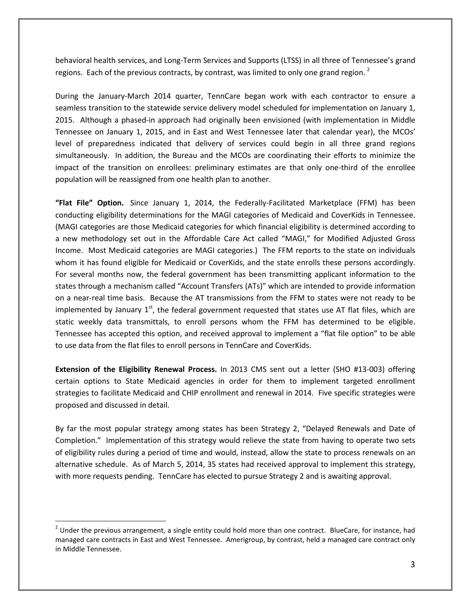behavioral health services, and Long-Term Services and Supports (LTSS) in all three of Tennessee's grand regions. Each of the previous contracts, by contrast, was limited to only one grand region.<sup>[2](#page-2-0)</sup>

During the January-March 2014 quarter, TennCare began work with each contractor to ensure a seamless transition to the statewide service delivery model scheduled for implementation on January 1, 2015. Although a phased-in approach had originally been envisioned (with implementation in Middle Tennessee on January 1, 2015, and in East and West Tennessee later that calendar year), the MCOs' level of preparedness indicated that delivery of services could begin in all three grand regions simultaneously. In addition, the Bureau and the MCOs are coordinating their efforts to minimize the impact of the transition on enrollees: preliminary estimates are that only one-third of the enrollee population will be reassigned from one health plan to another.

**"Flat File" Option.** Since January 1, 2014, the Federally-Facilitated Marketplace (FFM) has been conducting eligibility determinations for the MAGI categories of Medicaid and CoverKids in Tennessee. (MAGI categories are those Medicaid categories for which financial eligibility is determined according to a new methodology set out in the Affordable Care Act called "MAGI," for Modified Adjusted Gross Income. Most Medicaid categories are MAGI categories.) The FFM reports to the state on individuals whom it has found eligible for Medicaid or CoverKids, and the state enrolls these persons accordingly. For several months now, the federal government has been transmitting applicant information to the states through a mechanism called "Account Transfers (ATs)" which are intended to provide information on a near-real time basis. Because the AT transmissions from the FFM to states were not ready to be implemented by January  $1<sup>st</sup>$ , the federal government requested that states use AT flat files, which are static weekly data transmittals, to enroll persons whom the FFM has determined to be eligible. Tennessee has accepted this option, and received approval to implement a "flat file option" to be able to use data from the flat files to enroll persons in TennCare and CoverKids.

**Extension of the Eligibility Renewal Process.** In 2013 CMS sent out a letter (SHO #13-003) offering certain options to State Medicaid agencies in order for them to implement targeted enrollment strategies to facilitate Medicaid and CHIP enrollment and renewal in 2014. Five specific strategies were proposed and discussed in detail.

By far the most popular strategy among states has been Strategy 2, "Delayed Renewals and Date of Completion." Implementation of this strategy would relieve the state from having to operate two sets of eligibility rules during a period of time and would, instead, allow the state to process renewals on an alternative schedule. As of March 5, 2014, 35 states had received approval to implement this strategy, with more requests pending. TennCare has elected to pursue Strategy 2 and is awaiting approval.

<span id="page-2-0"></span> $2$  Under the previous arrangement, a single entity could hold more than one contract. BlueCare, for instance, had managed care contracts in East and West Tennessee. Amerigroup, by contrast, held a managed care contract only in Middle Tennessee.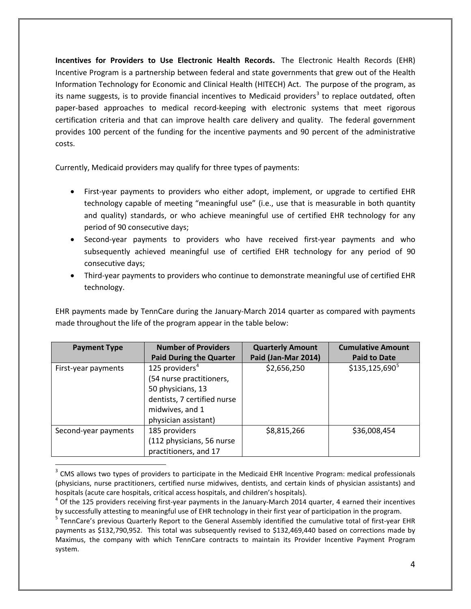**Incentives for Providers to Use Electronic Health Records.** The Electronic Health Records (EHR) Incentive Program is a partnership between federal and state governments that grew out of the Health Information Technology for Economic and Clinical Health (HITECH) Act. The purpose of the program, as its name suggests, is to provide financial incentives to Medicaid providers<sup>[3](#page-3-0)</sup> to replace outdated, often paper-based approaches to medical record-keeping with electronic systems that meet rigorous certification criteria and that can improve health care delivery and quality. The federal government provides 100 percent of the funding for the incentive payments and 90 percent of the administrative costs.

Currently, Medicaid providers may qualify for three types of payments:

 $\overline{a}$ 

- First-year payments to providers who either adopt, implement, or upgrade to certified EHR technology capable of meeting "meaningful use" (i.e., use that is measurable in both quantity and quality) standards, or who achieve meaningful use of certified EHR technology for any period of 90 consecutive days;
- Second-year payments to providers who have received first-year payments and who subsequently achieved meaningful use of certified EHR technology for any period of 90 consecutive days;
- Third-year payments to providers who continue to demonstrate meaningful use of certified EHR technology.

EHR payments made by TennCare during the January-March 2014 quarter as compared with payments made throughout the life of the program appear in the table below:

| <b>Payment Type</b>  | <b>Number of Providers</b>     | <b>Quarterly Amount</b> | <b>Cumulative Amount</b> |
|----------------------|--------------------------------|-------------------------|--------------------------|
|                      | <b>Paid During the Quarter</b> | Paid (Jan-Mar 2014)     | <b>Paid to Date</b>      |
| First-year payments  | 125 providers $4$              | \$2,656,250             | $$135,125,690^5$         |
|                      | (54 nurse practitioners,       |                         |                          |
|                      | 50 physicians, 13              |                         |                          |
|                      | dentists, 7 certified nurse    |                         |                          |
|                      | midwives, and 1                |                         |                          |
|                      | physician assistant)           |                         |                          |
| Second-year payments | 185 providers                  | \$8,815,266             | \$36,008,454             |
|                      | (112 physicians, 56 nurse      |                         |                          |
|                      | practitioners, and 17          |                         |                          |

<span id="page-3-0"></span><sup>&</sup>lt;sup>3</sup> CMS allows two types of providers to participate in the Medicaid EHR Incentive Program: medical professionals (physicians, nurse practitioners, certified nurse midwives, dentists, and certain kinds of physician assistants) and

<span id="page-3-1"></span>hospitals (acute care hospitals, critical access hospitals, and children's hospitals).<br><sup>4</sup> Of the 125 providers receiving first-year payments in the January-March 2014 quarter, 4 earned their incentives by successfully attesting to meaningful use of EHR technology in their first year of participation in the program.<br><sup>5</sup> TennCare's previous Quarterly Report to the General Assembly identified the cumulative total of first-y

<span id="page-3-2"></span>payments as \$132,790,952. This total was subsequently revised to \$132,469,440 based on corrections made by Maximus, the company with which TennCare contracts to maintain its Provider Incentive Payment Program system.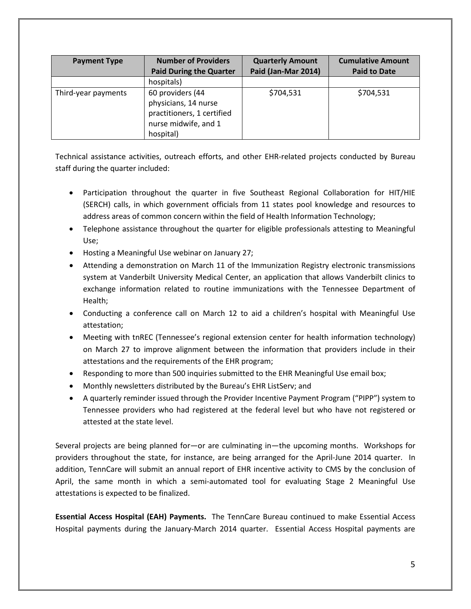| <b>Payment Type</b> | <b>Number of Providers</b><br><b>Paid During the Quarter</b>                                                | <b>Quarterly Amount</b><br>Paid (Jan-Mar 2014) | <b>Cumulative Amount</b><br><b>Paid to Date</b> |
|---------------------|-------------------------------------------------------------------------------------------------------------|------------------------------------------------|-------------------------------------------------|
|                     | hospitals)                                                                                                  |                                                |                                                 |
| Third-year payments | 60 providers (44<br>physicians, 14 nurse<br>practitioners, 1 certified<br>nurse midwife, and 1<br>hospital) | \$704,531                                      | \$704,531                                       |

Technical assistance activities, outreach efforts, and other EHR-related projects conducted by Bureau staff during the quarter included:

- Participation throughout the quarter in five Southeast Regional Collaboration for HIT/HIE (SERCH) calls, in which government officials from 11 states pool knowledge and resources to address areas of common concern within the field of Health Information Technology;
- Telephone assistance throughout the quarter for eligible professionals attesting to Meaningful Use;
- Hosting a Meaningful Use webinar on January 27;
- Attending a demonstration on March 11 of the Immunization Registry electronic transmissions system at Vanderbilt University Medical Center, an application that allows Vanderbilt clinics to exchange information related to routine immunizations with the Tennessee Department of Health;
- Conducting a conference call on March 12 to aid a children's hospital with Meaningful Use attestation;
- Meeting with tnREC (Tennessee's regional extension center for health information technology) on March 27 to improve alignment between the information that providers include in their attestations and the requirements of the EHR program;
- Responding to more than 500 inquiries submitted to the EHR Meaningful Use email box;
- Monthly newsletters distributed by the Bureau's EHR ListServ; and
- A quarterly reminder issued through the Provider Incentive Payment Program ("PIPP") system to Tennessee providers who had registered at the federal level but who have not registered or attested at the state level.

Several projects are being planned for—or are culminating in—the upcoming months. Workshops for providers throughout the state, for instance, are being arranged for the April-June 2014 quarter. In addition, TennCare will submit an annual report of EHR incentive activity to CMS by the conclusion of April, the same month in which a semi-automated tool for evaluating Stage 2 Meaningful Use attestations is expected to be finalized.

**Essential Access Hospital (EAH) Payments.** The TennCare Bureau continued to make Essential Access Hospital payments during the January-March 2014 quarter. Essential Access Hospital payments are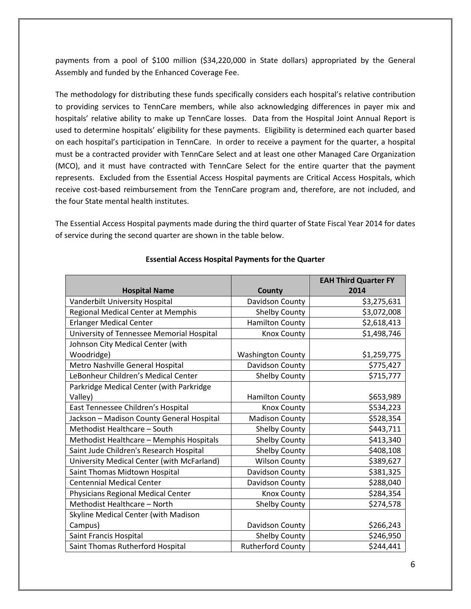payments from a pool of \$100 million (\$34,220,000 in State dollars) appropriated by the General Assembly and funded by the Enhanced Coverage Fee.

The methodology for distributing these funds specifically considers each hospital's relative contribution to providing services to TennCare members, while also acknowledging differences in payer mix and hospitals' relative ability to make up TennCare losses. Data from the Hospital Joint Annual Report is used to determine hospitals' eligibility for these payments. Eligibility is determined each quarter based on each hospital's participation in TennCare. In order to receive a payment for the quarter, a hospital must be a contracted provider with TennCare Select and at least one other Managed Care Organization (MCO), and it must have contracted with TennCare Select for the entire quarter that the payment represents. Excluded from the Essential Access Hospital payments are Critical Access Hospitals, which receive cost-based reimbursement from the TennCare program and, therefore, are not included, and the four State mental health institutes.

The Essential Access Hospital payments made during the third quarter of State Fiscal Year 2014 for dates of service during the second quarter are shown in the table below.

|                                            |                          | <b>EAH Third Quarter FY</b> |
|--------------------------------------------|--------------------------|-----------------------------|
| <b>Hospital Name</b>                       | County                   | 2014                        |
| Vanderbilt University Hospital             | Davidson County          | \$3,275,631                 |
| Regional Medical Center at Memphis         | Shelby County            | \$3,072,008                 |
| <b>Erlanger Medical Center</b>             | <b>Hamilton County</b>   | \$2,618,413                 |
| University of Tennessee Memorial Hospital  | <b>Knox County</b>       | \$1,498,746                 |
| Johnson City Medical Center (with          |                          |                             |
| Woodridge)                                 | <b>Washington County</b> | \$1,259,775                 |
| Metro Nashville General Hospital           | Davidson County          | \$775,427                   |
| LeBonheur Children's Medical Center        | Shelby County            | \$715,777                   |
| Parkridge Medical Center (with Parkridge   |                          |                             |
| Valley)                                    | <b>Hamilton County</b>   | \$653,989                   |
| East Tennessee Children's Hospital         | <b>Knox County</b>       | \$534,223                   |
| Jackson - Madison County General Hospital  | <b>Madison County</b>    | \$528,354                   |
| Methodist Healthcare - South               | Shelby County            | \$443,711                   |
| Methodist Healthcare - Memphis Hospitals   | Shelby County            | \$413,340                   |
| Saint Jude Children's Research Hospital    | <b>Shelby County</b>     | \$408,108                   |
| University Medical Center (with McFarland) | <b>Wilson County</b>     | \$389,627                   |
| Saint Thomas Midtown Hospital              | Davidson County          | \$381,325                   |
| <b>Centennial Medical Center</b>           | Davidson County          | \$288,040                   |
| Physicians Regional Medical Center         | <b>Knox County</b>       | \$284,354                   |
| Methodist Healthcare - North               | Shelby County            | \$274,578                   |
| Skyline Medical Center (with Madison       |                          |                             |
| Campus)                                    | Davidson County          | \$266,243                   |
| Saint Francis Hospital                     | Shelby County            | \$246,950                   |
| Saint Thomas Rutherford Hospital           | <b>Rutherford County</b> | \$244,441                   |

#### **Essential Access Hospital Payments for the Quarter**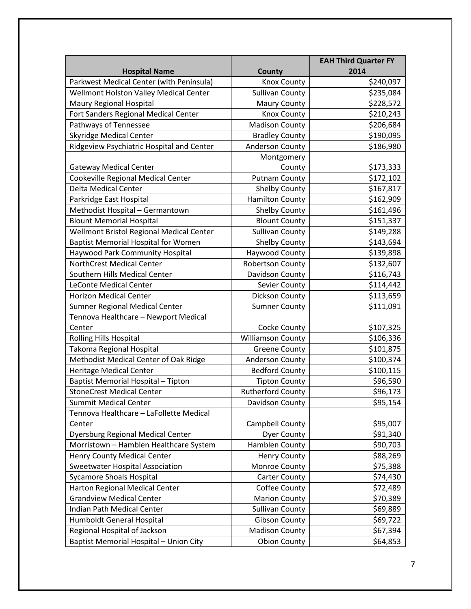|                                            |                          | <b>EAH Third Quarter FY</b> |
|--------------------------------------------|--------------------------|-----------------------------|
| <b>Hospital Name</b>                       | <b>County</b>            | 2014                        |
| Parkwest Medical Center (with Peninsula)   | <b>Knox County</b>       | \$240,097                   |
| Wellmont Holston Valley Medical Center     | <b>Sullivan County</b>   | \$235,084                   |
| Maury Regional Hospital                    | <b>Maury County</b>      | \$228,572                   |
| Fort Sanders Regional Medical Center       | <b>Knox County</b>       | \$210,243                   |
| Pathways of Tennessee                      | <b>Madison County</b>    | \$206,684                   |
| <b>Skyridge Medical Center</b>             | <b>Bradley County</b>    | \$190,095                   |
| Ridgeview Psychiatric Hospital and Center  | <b>Anderson County</b>   | \$186,980                   |
|                                            | Montgomery               |                             |
| <b>Gateway Medical Center</b>              | County                   | \$173,333                   |
| Cookeville Regional Medical Center         | <b>Putnam County</b>     | \$172,102                   |
| <b>Delta Medical Center</b>                | <b>Shelby County</b>     | \$167,817                   |
| Parkridge East Hospital                    | <b>Hamilton County</b>   | \$162,909                   |
| Methodist Hospital - Germantown            | <b>Shelby County</b>     | \$161,496                   |
| <b>Blount Memorial Hospital</b>            | <b>Blount County</b>     | \$151,337                   |
| Wellmont Bristol Regional Medical Center   | <b>Sullivan County</b>   | \$149,288                   |
| <b>Baptist Memorial Hospital for Women</b> | <b>Shelby County</b>     | \$143,694                   |
| Haywood Park Community Hospital            | Haywood County           | \$139,898                   |
| NorthCrest Medical Center                  | <b>Robertson County</b>  | \$132,607                   |
| Southern Hills Medical Center              | Davidson County          | \$116,743                   |
| <b>LeConte Medical Center</b>              | Sevier County            | \$114,442                   |
| <b>Horizon Medical Center</b>              | Dickson County           | \$113,659                   |
| <b>Sumner Regional Medical Center</b>      | <b>Sumner County</b>     | \$111,091                   |
| Tennova Healthcare - Newport Medical       |                          |                             |
| Center                                     | Cocke County             | \$107,325                   |
| <b>Rolling Hills Hospital</b>              | <b>Williamson County</b> | \$106,336                   |
| Takoma Regional Hospital                   | <b>Greene County</b>     | \$101,875                   |
| Methodist Medical Center of Oak Ridge      | <b>Anderson County</b>   | \$100,374                   |
| <b>Heritage Medical Center</b>             | <b>Bedford County</b>    | \$100,115                   |
| <b>Baptist Memorial Hospital - Tipton</b>  | <b>Tipton County</b>     | \$96,590                    |
| <b>StoneCrest Medical Center</b>           | <b>Rutherford County</b> | \$96,173                    |
| <b>Summit Medical Center</b>               | Davidson County          | \$95,154                    |
| Tennova Healthcare - LaFollette Medical    |                          |                             |
| Center                                     | Campbell County          | \$95,007                    |
| <b>Dyersburg Regional Medical Center</b>   | Dyer County              | \$91,340                    |
| Morristown - Hamblen Healthcare System     | Hamblen County           | \$90,703                    |
| <b>Henry County Medical Center</b>         | <b>Henry County</b>      | \$88,269                    |
| Sweetwater Hospital Association            | Monroe County            | \$75,388                    |
| <b>Sycamore Shoals Hospital</b>            | <b>Carter County</b>     | \$74,430                    |
| Harton Regional Medical Center             | Coffee County            | \$72,489                    |
| <b>Grandview Medical Center</b>            | <b>Marion County</b>     | \$70,389                    |
| Indian Path Medical Center                 | <b>Sullivan County</b>   | \$69,889                    |
| Humboldt General Hospital                  | <b>Gibson County</b>     | \$69,722                    |
| Regional Hospital of Jackson               | <b>Madison County</b>    | \$67,394                    |
| Baptist Memorial Hospital - Union City     | <b>Obion County</b>      | \$64,853                    |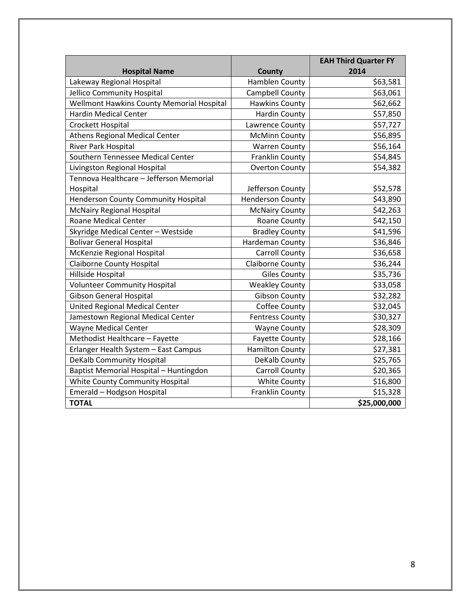|                                           |                         | <b>EAH Third Quarter FY</b> |
|-------------------------------------------|-------------------------|-----------------------------|
| <b>Hospital Name</b>                      | County                  | 2014                        |
| Lakeway Regional Hospital                 | Hamblen County          | \$63,581                    |
| Jellico Community Hospital                | Campbell County         | \$63,061                    |
| Wellmont Hawkins County Memorial Hospital | <b>Hawkins County</b>   | \$62,662                    |
| <b>Hardin Medical Center</b>              | <b>Hardin County</b>    | \$57,850                    |
| Crockett Hospital                         | Lawrence County         | \$57,727                    |
| <b>Athens Regional Medical Center</b>     | <b>McMinn County</b>    | \$56,895                    |
| River Park Hospital                       | <b>Warren County</b>    | \$56,164                    |
| Southern Tennessee Medical Center         | <b>Franklin County</b>  | \$54,845                    |
| Livingston Regional Hospital              | <b>Overton County</b>   | \$54,382                    |
| Tennova Healthcare - Jefferson Memorial   |                         |                             |
| Hospital                                  | Jefferson County        | \$52,578                    |
| Henderson County Community Hospital       | <b>Henderson County</b> | \$43,890                    |
| <b>McNairy Regional Hospital</b>          | <b>McNairy County</b>   | \$42,263                    |
| <b>Roane Medical Center</b>               | Roane County            | \$42,150                    |
| Skyridge Medical Center - Westside        | <b>Bradley County</b>   | \$41,596                    |
| <b>Bolivar General Hospital</b>           | Hardeman County         | \$36,846                    |
| McKenzie Regional Hospital                | <b>Carroll County</b>   | \$36,658                    |
| <b>Claiborne County Hospital</b>          | <b>Claiborne County</b> | \$36,244                    |
| Hillside Hospital                         | <b>Giles County</b>     | \$35,736                    |
| <b>Volunteer Community Hospital</b>       | <b>Weakley County</b>   | \$33,058                    |
| <b>Gibson General Hospital</b>            | <b>Gibson County</b>    | \$32,282                    |
| United Regional Medical Center            | Coffee County           | \$32,045                    |
| Jamestown Regional Medical Center         | <b>Fentress County</b>  | \$30,327                    |
| <b>Wayne Medical Center</b>               | <b>Wayne County</b>     | \$28,309                    |
| Methodist Healthcare - Fayette            | <b>Fayette County</b>   | \$28,166                    |
| Erlanger Health System - East Campus      | <b>Hamilton County</b>  | \$27,381                    |
| <b>DeKalb Community Hospital</b>          | DeKalb County           | \$25,765                    |
| Baptist Memorial Hospital - Huntingdon    | <b>Carroll County</b>   | \$20,365                    |
| White County Community Hospital           | <b>White County</b>     | \$16,800                    |
| Emerald - Hodgson Hospital                | Franklin County         | \$15,328                    |
| <b>TOTAL</b>                              |                         | \$25,000,000                |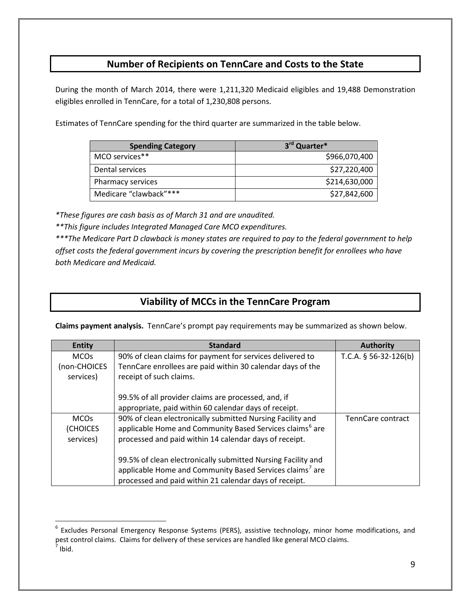## **Number of Recipients on TennCare and Costs to the State**

During the month of March 2014, there were 1,211,320 Medicaid eligibles and 19,488 Demonstration eligibles enrolled in TennCare, for a total of 1,230,808 persons.

Estimates of TennCare spending for the third quarter are summarized in the table below.

| <b>Spending Category</b> | 3rd Quarter*  |
|--------------------------|---------------|
| MCO services**           | \$966,070,400 |
| Dental services          | \$27,220,400  |
| Pharmacy services        | \$214,630,000 |
| Medicare "clawback"***   | \$27,842,600  |

*\*These figures are cash basis as of March 31 and are unaudited.*

 $\overline{a}$ 

*\*\*This figure includes Integrated Managed Care MCO expenditures.*

*\*\*\*The Medicare Part D clawback is money states are required to pay to the federal government to help offset costs the federal government incurs by covering the prescription benefit for enrollees who have both Medicare and Medicaid.*

## **Viability of MCCs in the TennCare Program**

**Claims payment analysis.** TennCare's prompt pay requirements may be summarized as shown below.

| <b>Entity</b> | <b>Standard</b>                                                      | <b>Authority</b>        |
|---------------|----------------------------------------------------------------------|-------------------------|
| <b>MCOs</b>   | 90% of clean claims for payment for services delivered to            | T.C.A. $§$ 56-32-126(b) |
| (non-CHOICES  | TennCare enrollees are paid within 30 calendar days of the           |                         |
| services)     | receipt of such claims.                                              |                         |
|               |                                                                      |                         |
|               | 99.5% of all provider claims are processed, and, if                  |                         |
|               | appropriate, paid within 60 calendar days of receipt.                |                         |
| <b>MCOs</b>   | 90% of clean electronically submitted Nursing Facility and           | TennCare contract       |
| (CHOICES      | applicable Home and Community Based Services claims <sup>6</sup> are |                         |
| services)     | processed and paid within 14 calendar days of receipt.               |                         |
|               |                                                                      |                         |
|               | 99.5% of clean electronically submitted Nursing Facility and         |                         |
|               | applicable Home and Community Based Services claims <sup>7</sup> are |                         |
|               | processed and paid within 21 calendar days of receipt.               |                         |

<span id="page-8-1"></span><span id="page-8-0"></span><sup>&</sup>lt;sup>6</sup> Excludes Personal Emergency Response Systems (PERS), assistive technology, minor home modifications, and pest control claims. Claims for delivery of these services are handled like general MCO claims.<br><sup>7</sup> Ibid.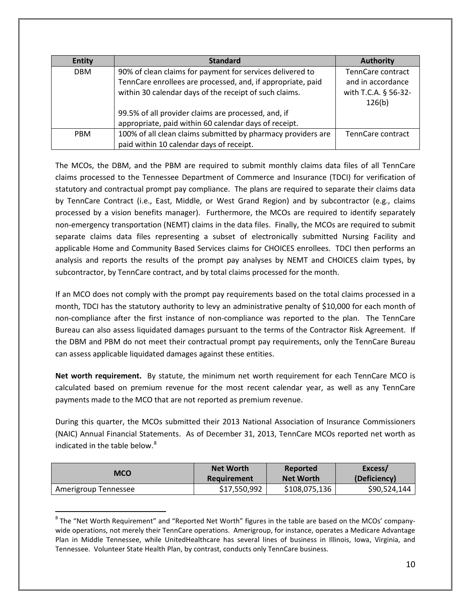| <b>Entity</b> | <b>Standard</b>                                              | <b>Authority</b>     |
|---------------|--------------------------------------------------------------|----------------------|
| <b>DBM</b>    | 90% of clean claims for payment for services delivered to    | TennCare contract    |
|               | TennCare enrollees are processed, and, if appropriate, paid  | and in accordance    |
|               | within 30 calendar days of the receipt of such claims.       | with T.C.A. § 56-32- |
|               |                                                              | 126(b)               |
|               | 99.5% of all provider claims are processed, and, if          |                      |
|               | appropriate, paid within 60 calendar days of receipt.        |                      |
| <b>PBM</b>    | 100% of all clean claims submitted by pharmacy providers are | TennCare contract    |
|               | paid within 10 calendar days of receipt.                     |                      |

The MCOs, the DBM, and the PBM are required to submit monthly claims data files of all TennCare claims processed to the Tennessee Department of Commerce and Insurance (TDCI) for verification of statutory and contractual prompt pay compliance. The plans are required to separate their claims data by TennCare Contract (i.e., East, Middle, or West Grand Region) and by subcontractor (e.g., claims processed by a vision benefits manager). Furthermore, the MCOs are required to identify separately non-emergency transportation (NEMT) claims in the data files. Finally, the MCOs are required to submit separate claims data files representing a subset of electronically submitted Nursing Facility and applicable Home and Community Based Services claims for CHOICES enrollees. TDCI then performs an analysis and reports the results of the prompt pay analyses by NEMT and CHOICES claim types, by subcontractor, by TennCare contract, and by total claims processed for the month.

If an MCO does not comply with the prompt pay requirements based on the total claims processed in a month, TDCI has the statutory authority to levy an administrative penalty of \$10,000 for each month of non-compliance after the first instance of non-compliance was reported to the plan. The TennCare Bureau can also assess liquidated damages pursuant to the terms of the Contractor Risk Agreement. If the DBM and PBM do not meet their contractual prompt pay requirements, only the TennCare Bureau can assess applicable liquidated damages against these entities.

**Net worth requirement.** By statute, the minimum net worth requirement for each TennCare MCO is calculated based on premium revenue for the most recent calendar year, as well as any TennCare payments made to the MCO that are not reported as premium revenue.

During this quarter, the MCOs submitted their 2013 National Association of Insurance Commissioners (NAIC) Annual Financial Statements. As of December 31, 2013, TennCare MCOs reported net worth as indicated in the table below. $8$ 

| MCO                  | <b>Net Worth</b> | Reported         | Excess/      |
|----------------------|------------------|------------------|--------------|
|                      | Requirement      | <b>Net Worth</b> | (Deficiency) |
| Amerigroup Tennessee | \$17,550,992     | \$108,075,136    | \$90,524,144 |

<span id="page-9-0"></span><sup>&</sup>lt;sup>8</sup> The "Net Worth Requirement" and "Reported Net Worth" figures in the table are based on the MCOs' companywide operations, not merely their TennCare operations. Amerigroup, for instance, operates a Medicare Advantage Plan in Middle Tennessee, while UnitedHealthcare has several lines of business in Illinois, Iowa, Virginia, and Tennessee. Volunteer State Health Plan, by contrast, conducts only TennCare business.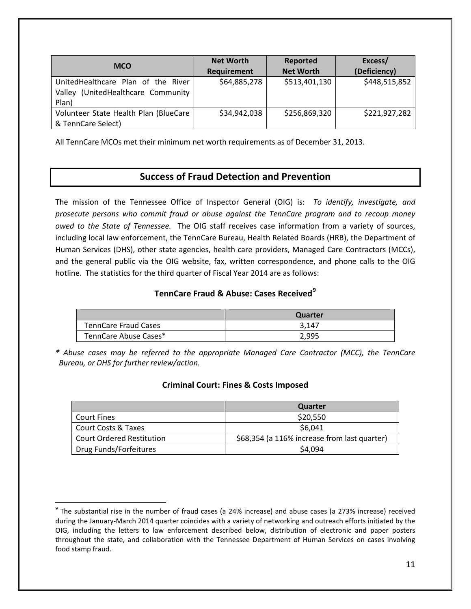| <b>MCO</b>                                                                           | <b>Net Worth</b><br>Requirement | Reported<br><b>Net Worth</b> | Excess/<br>(Deficiency) |
|--------------------------------------------------------------------------------------|---------------------------------|------------------------------|-------------------------|
| UnitedHealthcare Plan of the River<br>(UnitedHealthcare Community<br>Valley<br>Plan) | \$64,885,278                    | \$513,401,130                | \$448,515,852           |
| Volunteer State Health Plan (BlueCare<br>& TennCare Select)                          | \$34,942,038                    | \$256,869,320                | \$221,927,282           |

All TennCare MCOs met their minimum net worth requirements as of December 31, 2013.

## **Success of Fraud Detection and Prevention**

The mission of the Tennessee Office of Inspector General (OIG) is: *To identify, investigate, and prosecute persons who commit fraud or abuse against the TennCare program and to recoup money owed to the State of Tennessee.* The OIG staff receives case information from a variety of sources, including local law enforcement, the TennCare Bureau, Health Related Boards (HRB), the Department of Human Services (DHS), other state agencies, health care providers, Managed Care Contractors (MCCs), and the general public via the OIG website, fax, written correspondence, and phone calls to the OIG hotline. The statistics for the third quarter of Fiscal Year 2014 are as follows:

### **TennCare Fraud & Abuse: Cases Received[9](#page-10-0)**

|                             | Quarter |
|-----------------------------|---------|
| <b>TennCare Fraud Cases</b> | 3.147   |
| TennCare Abuse Cases*       | 2,995   |

*\* Abuse cases may be referred to the appropriate Managed Care Contractor (MCC), the TennCare Bureau, or DHS for further review/action.*

## **Criminal Court: Fines & Costs Imposed**

|                                  | Quarter                                      |
|----------------------------------|----------------------------------------------|
| <b>Court Fines</b>               | \$20,550                                     |
| <b>Court Costs &amp; Taxes</b>   | \$6,041                                      |
| <b>Court Ordered Restitution</b> | \$68,354 (a 116% increase from last quarter) |
| Drug Funds/Forfeitures           | \$4,094                                      |

<span id="page-10-0"></span> $9$  The substantial rise in the number of fraud cases (a 24% increase) and abuse cases (a 273% increase) received during the January-March 2014 quarter coincides with a variety of networking and outreach efforts initiated by the OIG, including the letters to law enforcement described below, distribution of electronic and paper posters throughout the state, and collaboration with the Tennessee Department of Human Services on cases involving food stamp fraud.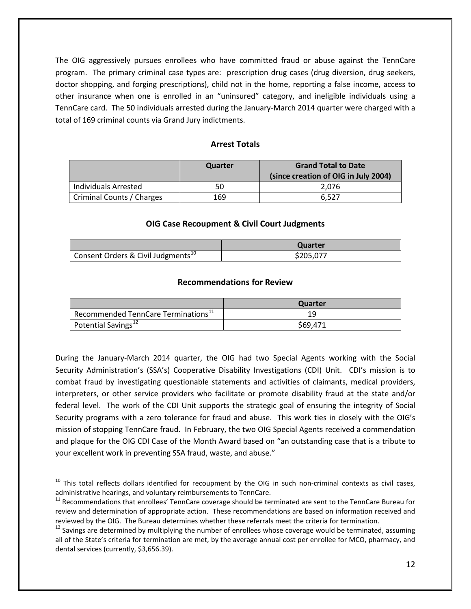The OIG aggressively pursues enrollees who have committed fraud or abuse against the TennCare program. The primary criminal case types are: prescription drug cases (drug diversion, drug seekers, doctor shopping, and forging prescriptions), child not in the home, reporting a false income, access to other insurance when one is enrolled in an "uninsured" category, and ineligible individuals using a TennCare card. The 50 individuals arrested during the January-March 2014 quarter were charged with a total of 169 criminal counts via Grand Jury indictments.

### **Arrest Totals**

|                           | Quarter | <b>Grand Total to Date</b><br>(since creation of OIG in July 2004) |
|---------------------------|---------|--------------------------------------------------------------------|
| Individuals Arrested      | 50      | 2.076                                                              |
| Criminal Counts / Charges | 169     | 6.527                                                              |

#### **OIG Case Recoupment & Civil Court Judgments**

|                                                | Quarter   |
|------------------------------------------------|-----------|
| Consent Orders & Civil Judgments <sup>10</sup> | \$205,077 |

#### **Recommendations for Review**

|                                                        | Quarter  |
|--------------------------------------------------------|----------|
| $\mid$ Recommended TennCare Terminations <sup>11</sup> |          |
| Potential Savings <sup>12</sup>                        | \$69,471 |

During the January-March 2014 quarter, the OIG had two Special Agents working with the Social Security Administration's (SSA's) Cooperative Disability Investigations (CDI) Unit. CDI's mission is to combat fraud by investigating questionable statements and activities of claimants, medical providers, interpreters, or other service providers who facilitate or promote disability fraud at the state and/or federal level. The work of the CDI Unit supports the strategic goal of ensuring the integrity of Social Security programs with a zero tolerance for fraud and abuse. This work ties in closely with the OIG's mission of stopping TennCare fraud. In February, the two OIG Special Agents received a commendation and plaque for the OIG CDI Case of the Month Award based on "an outstanding case that is a tribute to your excellent work in preventing SSA fraud, waste, and abuse."

<span id="page-11-0"></span> $10$  This total reflects dollars identified for recoupment by the OIG in such non-criminal contexts as civil cases,

<span id="page-11-1"></span>administrative hearings, and voluntary reimbursements to TennCare.<br><sup>11</sup> Recommendations that enrollees' TennCare coverage should be terminated are sent to the TennCare Bureau for review and determination of appropriate action. These recommendations are based on information received and reviewed by the OIG. The Bureau determines whether these referrals meet the criteria for termination.<br><sup>12</sup> Savings are determined by multiplying the number of enrollees whose coverage would be terminated, assuming

<span id="page-11-2"></span>all of the State's criteria for termination are met, by the average annual cost per enrollee for MCO, pharmacy, and dental services (currently, \$3,656.39).